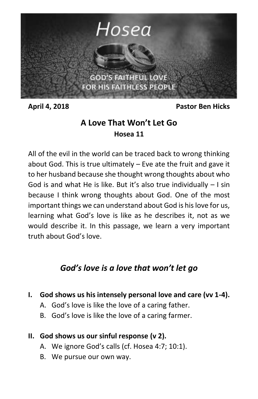

**April 4, 2018 Pastor Ben Hicks**

## **A Love That Won't Let Go Hosea 11**

All of the evil in the world can be traced back to wrong thinking about God. This is true ultimately – Eve ate the fruit and gave it to her husband because she thought wrong thoughts about who God is and what He is like. But it's also true individually – I sin because I think wrong thoughts about God. One of the most important things we can understand about God is his love for us, learning what God's love is like as he describes it, not as we would describe it. In this passage, we learn a very important truth about God's love.

## *God's love is a love that won't let go*

- **I. God shows us his intensely personal love and care (vv 1-4).**
	- A. God's love is like the love of a caring father.
	- B. God's love is like the love of a caring farmer.
- **II. God shows us our sinful response (v 2).**
	- A. We ignore God's calls (cf. Hosea 4:7; 10:1).
	- B. We pursue our own way.